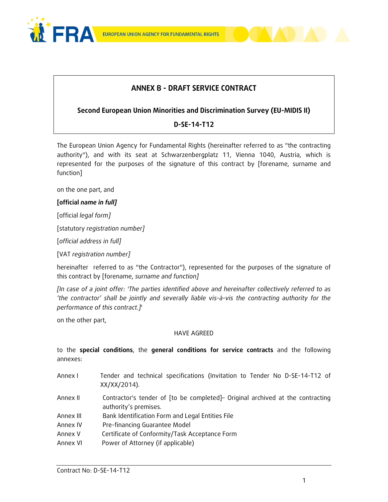



### ANNEX B - DRAFT SERVICE CONTRACT

#### Second European Union Minorities and Discrimination Survey (EU-MIDIS II)

#### D-SE-14-T12

The European Union Agency for Fundamental Rights (hereinafter referred to as "the contracting authority"), and with its seat at Schwarzenbergplatz 11, Vienna 1040, Austria, which is represented for the purposes of the signature of this contract by [forename, surname and function]

on the one part, and

#### [official name in full]

[official legal form]

[statutory registration number]

[official address in full]

[VAT registration number]

hereinafter referred to as "the Contractor"), represented for the purposes of the signature of this contract by [forename, surname and function]

[In case of a joint offer: 'The parties identified above and hereinafter collectively referred to as 'the contractor' shall be jointly and severally liable vis-à-vis the contracting authority for the performance of this contract.]'

on the other part,

#### HAVE AGREED

to the special conditions, the general conditions for service contracts and the following annexes:

Annex I Tender and technical specifications (Invitation to Tender No D-SE-14-T12 of XX/XX/2014).

Annex II Contractor's tender of [to be completed] - Original archived at the contracting authority's premises.

- Annex III Bank Identification Form and Legal Entities File
- Annex IV Pre-financing Guarantee Model
- Annex V Certificate of Conformity/Task Acceptance Form
- Annex VI Power of Attorney (if applicable)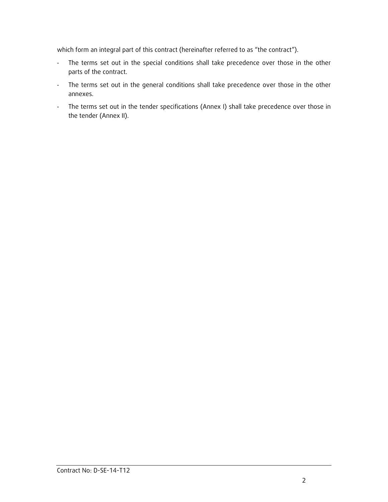which form an integral part of this contract (hereinafter referred to as "the contract").

- The terms set out in the special conditions shall take precedence over those in the other parts of the contract.
- The terms set out in the general conditions shall take precedence over those in the other annexes.
- The terms set out in the tender specifications (Annex I) shall take precedence over those in the tender (Annex II).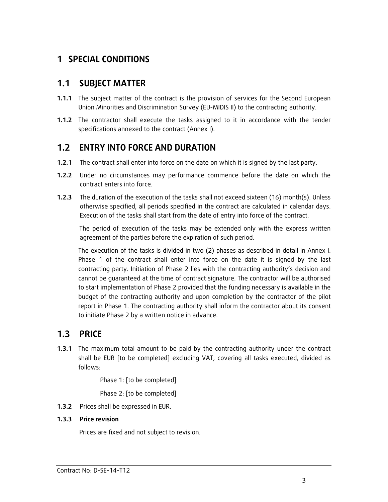## 1 SPECIAL CONDITIONS

### 1.1 SUBJECT MATTER

- **1.1.1** The subject matter of the contract is the provision of services for the Second European Union Minorities and Discrimination Survey (EU-MIDIS II) to the contracting authority.
- **1.1.2** The contractor shall execute the tasks assigned to it in accordance with the tender specifications annexed to the contract (Annex I).

### 1.2 ENTRY INTO FORCE AND DURATION

- **1.2.1** The contract shall enter into force on the date on which it is signed by the last party.
- **1.2.2** Under no circumstances may performance commence before the date on which the contract enters into force.
- **1.2.3** The duration of the execution of the tasks shall not exceed sixteen (16) month(s). Unless otherwise specified, all periods specified in the contract are calculated in calendar days. Execution of the tasks shall start from the date of entry into force of the contract.

The period of execution of the tasks may be extended only with the express written agreement of the parties before the expiration of such period.

The execution of the tasks is divided in two (2) phases as described in detail in Annex I. Phase 1 of the contract shall enter into force on the date it is signed by the last contracting party. Initiation of Phase 2 lies with the contracting authority's decision and cannot be guaranteed at the time of contract signature. The contractor will be authorised to start implementation of Phase 2 provided that the funding necessary is available in the budget of the contracting authority and upon completion by the contractor of the pilot report in Phase 1. The contracting authority shall inform the contractor about its consent to initiate Phase 2 by a written notice in advance.

# 1.3 PRICE

**1.3.1** The maximum total amount to be paid by the contracting authority under the contract shall be EUR [to be completed] excluding VAT, covering all tasks executed, divided as follows:

Phase 1: [to be completed]

Phase 2: [to be completed]

**1.3.2** Prices shall be expressed in EUR.

#### 1.3.3 Price revision

Prices are fixed and not subject to revision.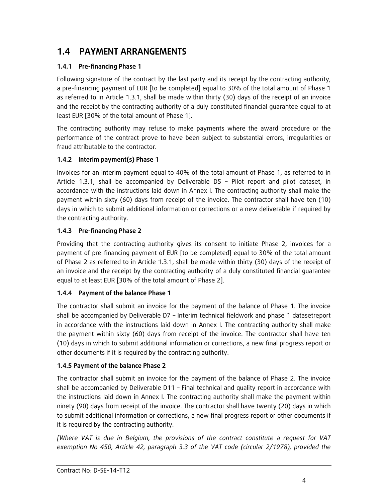# 1.4 PAYMENT ARRANGEMENTS

#### 1.4.1 Pre-financing Phase 1

Following signature of the contract by the last party and its receipt by the contracting authority, a pre-financing payment of EUR [to be completed] equal to 30% of the total amount of Phase 1 as referred to in Article 1.3.1, shall be made within thirty (30) days of the receipt of an invoice and the receipt by the contracting authority of a duly constituted financial guarantee equal to at least EUR [30% of the total amount of Phase 1].

The contracting authority may refuse to make payments where the award procedure or the performance of the contract prove to have been subject to substantial errors, irregularities or fraud attributable to the contractor.

#### 1.4.2 Interim payment(s) Phase 1

Invoices for an interim payment equal to 40% of the total amount of Phase 1, as referred to in Article 1.3.1, shall be accompanied by Deliverable D5 – Pilot report and pilot dataset, in accordance with the instructions laid down in Annex I. The contracting authority shall make the payment within sixty (60) days from receipt of the invoice. The contractor shall have ten (10) days in which to submit additional information or corrections or a new deliverable if required by the contracting authority.

#### 1.4.3 Pre-financing Phase 2

Providing that the contracting authority gives its consent to initiate Phase 2, invoices for a payment of pre-financing payment of EUR [to be completed] equal to 30% of the total amount of Phase 2 as referred to in Article 1.3.1, shall be made within thirty (30) days of the receipt of an invoice and the receipt by the contracting authority of a duly constituted financial guarantee equal to at least EUR [30% of the total amount of Phase 2].

#### 1.4.4 Payment of the balance Phase 1

The contractor shall submit an invoice for the payment of the balance of Phase 1. The invoice shall be accompanied by Deliverable D7 – Interim technical fieldwork and phase 1 datasetreport in accordance with the instructions laid down in Annex I. The contracting authority shall make the payment within sixty (60) days from receipt of the invoice. The contractor shall have ten (10) days in which to submit additional information or corrections, a new final progress report or other documents if it is required by the contracting authority.

#### 1.4.5 Payment of the balance Phase 2

The contractor shall submit an invoice for the payment of the balance of Phase 2. The invoice shall be accompanied by Deliverable D11 – Final technical and quality report in accordance with the instructions laid down in Annex I. The contracting authority shall make the payment within ninety (90) days from receipt of the invoice. The contractor shall have twenty (20) days in which to submit additional information or corrections, a new final progress report or other documents if it is required by the contracting authority.

[Where VAT is due in Belgium, the provisions of the contract constitute a request for VAT exemption No 450, Article 42, paragraph 3.3 of the VAT code (circular 2/1978), provided the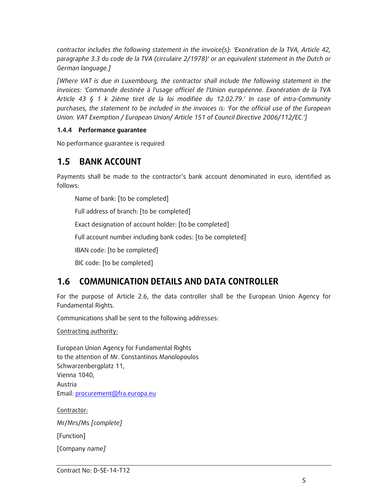contractor includes the following statement in the invoice(s): 'Exonération de la TVA, Article 42, paragraphe 3.3 du code de la TVA (circulaire 2/1978)' or an equivalent statement in the Dutch or German language.]

[Where VAT is due in Luxembourg, the contractor shall include the following statement in the invoices: 'Commande destinée à l'usage officiel de l'Union européenne. Exonération de la TVA Article 43 § 1 k 2ième tiret de la loi modifiée du 12.02.79.' In case of intra-Community purchases, the statement to be included in the invoices is: 'For the official use of the European Union. VAT Exemption / European Union/ Article 151 of Council Directive 2006/112/EC.']

#### 1.4.4 Performance guarantee

No performance guarantee is required

# 1.5 BANK ACCOUNT

Payments shall be made to the contractor's bank account denominated in euro, identified as follows:

Name of bank: [to be completed]

Full address of branch: [to be completed]

Exact designation of account holder: [to be completed]

Full account number including bank codes: [to be completed]

IBAN code: [to be completed]

BIC code: [to be completed]

# 1.6 COMMUNICATION DETAILS AND DATA CONTROLLER

For the purpose of Article 2.6, the data controller shall be the European Union Agency for Fundamental Rights.

Communications shall be sent to the following addresses:

Contracting authority:

European Union Agency for Fundamental Rights to the attention of Mr. Constantinos Manolopoulos Schwarzenbergplatz 11, Vienna 1040, Austria Email: procurement@fra.europa.eu

Contractor:

Mr/Mrs/Ms [complete]

[Function]

[Company name]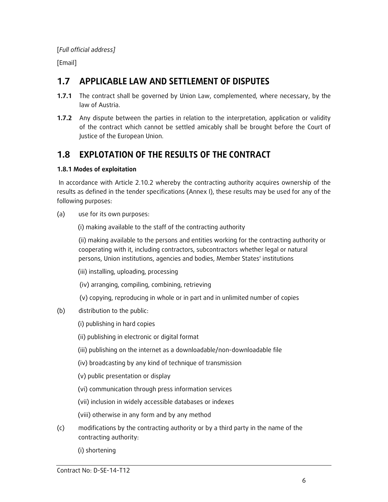#### [Full official address]

[Email]

# 1.7 APPLICABLE LAW AND SETTLEMENT OF DISPUTES

- **1.7.1** The contract shall be governed by Union Law, complemented, where necessary, by the law of Austria.
- **1.7.2** Any dispute between the parties in relation to the interpretation, application or validity of the contract which cannot be settled amicably shall be brought before the Court of Justice of the European Union.

# 1.8 EXPLOTATION OF THE RESULTS OF THE CONTRACT

#### 1.8.1 Modes of exploitation

 In accordance with Article 2.10.2 whereby the contracting authority acquires ownership of the results as defined in the tender specifications (Annex I), these results may be used for any of the following purposes:

(a) use for its own purposes:

(i) making available to the staff of the contracting authority

(ii) making available to the persons and entities working for the contracting authority or cooperating with it, including contractors, subcontractors whether legal or natural persons, Union institutions, agencies and bodies, Member States' institutions

- (iii) installing, uploading, processing
- (iv) arranging, compiling, combining, retrieving
- (v) copying, reproducing in whole or in part and in unlimited number of copies
- (b) distribution to the public:
	- (i) publishing in hard copies
	- (ii) publishing in electronic or digital format
	- (iii) publishing on the internet as a downloadable/non-downloadable file
	- (iv) broadcasting by any kind of technique of transmission
	- (v) public presentation or display
	- (vi) communication through press information services
	- (vii) inclusion in widely accessible databases or indexes
	- (viii) otherwise in any form and by any method
- (c) modifications by the contracting authority or by a third party in the name of the contracting authority:
	- (i) shortening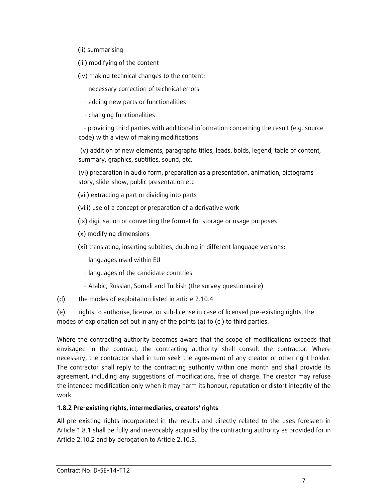- (ii) summarising
- (iii) modifying of the content
- (iv) making technical changes to the content:
	- necessary correction of technical errors
	- adding new parts or functionalities
	- changing functionalities

 - providing third parties with additional information concerning the result (e.g. source code) with a view of making modifications

 (v) addition of new elements, paragraphs titles, leads, bolds, legend, table of content, summary, graphics, subtitles, sound, etc.

(vi) preparation in audio form, preparation as a presentation, animation, pictograms story, slide-show, public presentation etc.

(vii) extracting a part or dividing into parts

(viii) use of a concept or preparation of a derivative work

- (ix) digitisation or converting the format for storage or usage purposes
- (x) modifying dimensions
- (xi) translating, inserting subtitles, dubbing in different language versions:
	- languages used within EU
	- languages of the candidate countries
	- Arabic, Russian, Somali and Turkish (the survey questionnaire)
- (d) the modes of exploitation listed in article 2.10.4

(e) rights to authorise, license, or sub-license in case of licensed pre-existing rights, the modes of exploitation set out in any of the points (a) to (c ) to third parties.

Where the contracting authority becomes aware that the scope of modifications exceeds that envisaged in the contract, the contracting authority shall consult the contractor. Where necessary, the contractor shall in turn seek the agreement of any creator or other right holder. The contractor shall reply to the contracting authority within one month and shall provide its agreement, including any suggestions of modifications, free of charge. The creator may refuse the intended modification only when it may harm its honour, reputation or distort integrity of the work.

#### 1.8.2 Pre-existing rights, intermediaries, creators' rights

All pre-existing rights incorporated in the results and directly related to the uses foreseen in Article 1.8.1 shall be fully and irrevocably acquired by the contracting authority as provided for in Article 2.10.2 and by derogation to Article 2.10.3.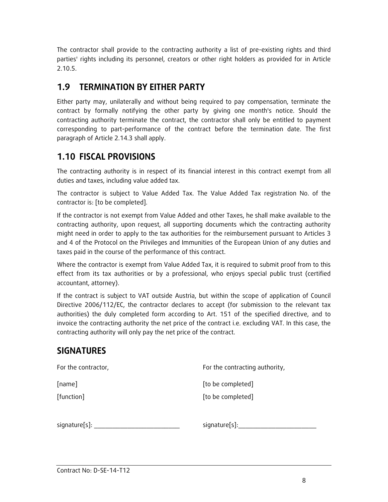The contractor shall provide to the contracting authority a list of pre-existing rights and third parties' rights including its personnel, creators or other right holders as provided for in Article 2.10.5.

## 1.9 TERMINATION BY EITHER PARTY

Either party may, unilaterally and without being required to pay compensation, terminate the contract by formally notifying the other party by giving one month's notice. Should the contracting authority terminate the contract, the contractor shall only be entitled to payment corresponding to part-performance of the contract before the termination date. The first paragraph of Article 2.14.3 shall apply.

# 1.10 FISCAL PROVISIONS

The contracting authority is in respect of its financial interest in this contract exempt from all duties and taxes, including value added tax.

The contractor is subject to Value Added Tax. The Value Added Tax registration No. of the contractor is: [to be completed].

If the contractor is not exempt from Value Added and other Taxes, he shall make available to the contracting authority, upon request, all supporting documents which the contracting authority might need in order to apply to the tax authorities for the reimbursement pursuant to Articles 3 and 4 of the Protocol on the Privileges and Immunities of the European Union of any duties and taxes paid in the course of the performance of this contract.

Where the contractor is exempt from Value Added Tax, it is required to submit proof from to this effect from its tax authorities or by a professional, who enjoys special public trust (certified accountant, attorney).

If the contract is subject to VAT outside Austria, but within the scope of application of Council Directive 2006/112/EC, the contractor declares to accept (for submission to the relevant tax authorities) the duly completed form according to Art. 151 of the specified directive, and to invoice the contracting authority the net price of the contract i.e. excluding VAT. In this case, the contracting authority will only pay the net price of the contract.

# **SIGNATURES**

| For the contractor, | For the contracting authority, |
|---------------------|--------------------------------|
| [name]              | [to be completed]              |
| [function]          | [to be completed]              |
|                     |                                |
| signature[s]:       | signature[s]:                  |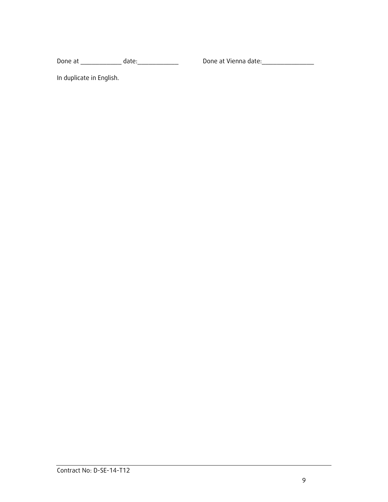Done at \_\_\_\_\_\_\_\_\_\_\_ date:\_\_\_\_\_\_\_\_\_\_\_ Done at Vienna date:\_\_\_\_\_\_\_\_\_\_\_\_\_\_

In duplicate in English.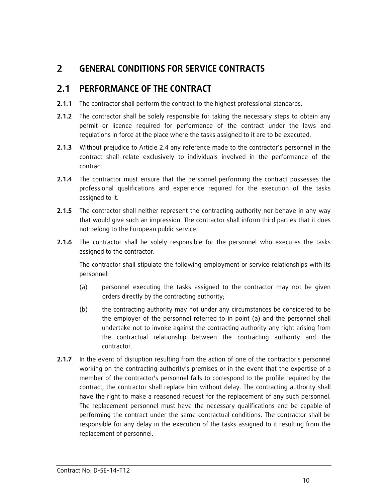## 2 GENERAL CONDITIONS FOR SERVICE CONTRACTS

### 2.1 PERFORMANCE OF THE CONTRACT

- **2.1.1** The contractor shall perform the contract to the highest professional standards.
- **2.1.2** The contractor shall be solely responsible for taking the necessary steps to obtain any permit or licence required for performance of the contract under the laws and regulations in force at the place where the tasks assigned to it are to be executed.
- **2.1.3** Without prejudice to Article 2.4 any reference made to the contractor's personnel in the contract shall relate exclusively to individuals involved in the performance of the contract.
- **2.1.4** The contractor must ensure that the personnel performing the contract possesses the professional qualifications and experience required for the execution of the tasks assigned to it.
- **2.1.5** The contractor shall neither represent the contracting authority nor behave in any way that would give such an impression. The contractor shall inform third parties that it does not belong to the European public service.
- **2.1.6** The contractor shall be solely responsible for the personnel who executes the tasks assigned to the contractor.

The contractor shall stipulate the following employment or service relationships with its personnel:

- (a) personnel executing the tasks assigned to the contractor may not be given orders directly by the contracting authority;
- (b) the contracting authority may not under any circumstances be considered to be the employer of the personnel referred to in point (a) and the personnel shall undertake not to invoke against the contracting authority any right arising from the contractual relationship between the contracting authority and the contractor.
- **2.1.7** In the event of disruption resulting from the action of one of the contractor's personnel working on the contracting authority's premises or in the event that the expertise of a member of the contractor's personnel fails to correspond to the profile required by the contract, the contractor shall replace him without delay. The contracting authority shall have the right to make a reasoned request for the replacement of any such personnel. The replacement personnel must have the necessary qualifications and be capable of performing the contract under the same contractual conditions. The contractor shall be responsible for any delay in the execution of the tasks assigned to it resulting from the replacement of personnel.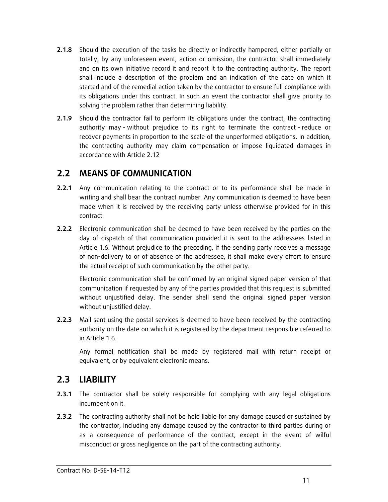- **2.1.8** Should the execution of the tasks be directly or indirectly hampered, either partially or totally, by any unforeseen event, action or omission, the contractor shall immediately and on its own initiative record it and report it to the contracting authority. The report shall include a description of the problem and an indication of the date on which it started and of the remedial action taken by the contractor to ensure full compliance with its obligations under this contract. In such an event the contractor shall give priority to solving the problem rather than determining liability.
- 2.1.9 Should the contractor fail to perform its obligations under the contract, the contracting authority may - without prejudice to its right to terminate the contract - reduce or recover payments in proportion to the scale of the unperformed obligations. In addition, the contracting authority may claim compensation or impose liquidated damages in accordance with Article 2.12

### 2.2 MEANS OF COMMUNICATION

- 2.2.1 Any communication relating to the contract or to its performance shall be made in writing and shall bear the contract number. Any communication is deemed to have been made when it is received by the receiving party unless otherwise provided for in this contract.
- 2.2.2 Electronic communication shall be deemed to have been received by the parties on the day of dispatch of that communication provided it is sent to the addressees listed in Article 1.6. Without prejudice to the preceding, if the sending party receives a message of non-delivery to or of absence of the addressee, it shall make every effort to ensure the actual receipt of such communication by the other party.

Electronic communication shall be confirmed by an original signed paper version of that communication if requested by any of the parties provided that this request is submitted without unjustified delay. The sender shall send the original signed paper version without unjustified delay.

**2.2.3** Mail sent using the postal services is deemed to have been received by the contracting authority on the date on which it is registered by the department responsible referred to in Article 1.6.

Any formal notification shall be made by registered mail with return receipt or equivalent, or by equivalent electronic means.

# 2.3 LIABILITY

- 2.3.1 The contractor shall be solely responsible for complying with any legal obligations incumbent on it.
- **2.3.2** The contracting authority shall not be held liable for any damage caused or sustained by the contractor, including any damage caused by the contractor to third parties during or as a consequence of performance of the contract, except in the event of wilful misconduct or gross negligence on the part of the contracting authority.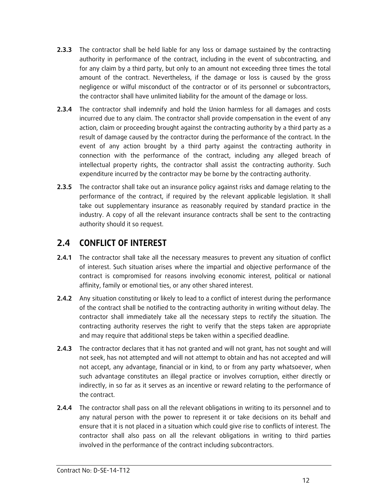- **2.3.3** The contractor shall be held liable for any loss or damage sustained by the contracting authority in performance of the contract, including in the event of subcontracting, and for any claim by a third party, but only to an amount not exceeding three times the total amount of the contract. Nevertheless, if the damage or loss is caused by the gross negligence or wilful misconduct of the contractor or of its personnel or subcontractors, the contractor shall have unlimited liability for the amount of the damage or loss.
- 2.3.4 The contractor shall indemnify and hold the Union harmless for all damages and costs incurred due to any claim. The contractor shall provide compensation in the event of any action, claim or proceeding brought against the contracting authority by a third party as a result of damage caused by the contractor during the performance of the contract. In the event of any action brought by a third party against the contracting authority in connection with the performance of the contract, including any alleged breach of intellectual property rights, the contractor shall assist the contracting authority. Such expenditure incurred by the contractor may be borne by the contracting authority.
- **2.3.5** The contractor shall take out an insurance policy against risks and damage relating to the performance of the contract, if required by the relevant applicable legislation. It shall take out supplementary insurance as reasonably required by standard practice in the industry. A copy of all the relevant insurance contracts shall be sent to the contracting authority should it so request.

## 2.4 CONFLICT OF INTEREST

- **2.4.1** The contractor shall take all the necessary measures to prevent any situation of conflict of interest. Such situation arises where the impartial and objective performance of the contract is compromised for reasons involving economic interest, political or national affinity, family or emotional ties, or any other shared interest.
- 2.4.2 Any situation constituting or likely to lead to a conflict of interest during the performance of the contract shall be notified to the contracting authority in writing without delay. The contractor shall immediately take all the necessary steps to rectify the situation. The contracting authority reserves the right to verify that the steps taken are appropriate and may require that additional steps be taken within a specified deadline.
- 2.4.3 The contractor declares that it has not granted and will not grant, has not sought and will not seek, has not attempted and will not attempt to obtain and has not accepted and will not accept, any advantage, financial or in kind, to or from any party whatsoever, when such advantage constitutes an illegal practice or involves corruption, either directly or indirectly, in so far as it serves as an incentive or reward relating to the performance of the contract.
- 2.4.4 The contractor shall pass on all the relevant obligations in writing to its personnel and to any natural person with the power to represent it or take decisions on its behalf and ensure that it is not placed in a situation which could give rise to conflicts of interest. The contractor shall also pass on all the relevant obligations in writing to third parties involved in the performance of the contract including subcontractors.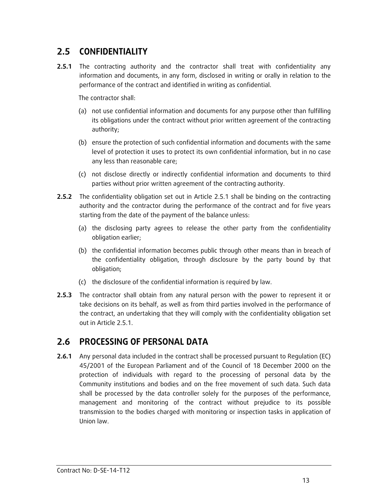## 2.5 CONFIDENTIALITY

2.5.1 The contracting authority and the contractor shall treat with confidentiality any information and documents, in any form, disclosed in writing or orally in relation to the performance of the contract and identified in writing as confidential.

The contractor shall:

- (a) not use confidential information and documents for any purpose other than fulfilling its obligations under the contract without prior written agreement of the contracting authority;
- (b) ensure the protection of such confidential information and documents with the same level of protection it uses to protect its own confidential information, but in no case any less than reasonable care;
- (c) not disclose directly or indirectly confidential information and documents to third parties without prior written agreement of the contracting authority.
- **2.5.2** The confidentiality obligation set out in Article 2.5.1 shall be binding on the contracting authority and the contractor during the performance of the contract and for five years starting from the date of the payment of the balance unless:
	- (a) the disclosing party agrees to release the other party from the confidentiality obligation earlier;
	- (b) the confidential information becomes public through other means than in breach of the confidentiality obligation, through disclosure by the party bound by that obligation;
	- (c) the disclosure of the confidential information is required by law.
- **2.5.3** The contractor shall obtain from any natural person with the power to represent it or take decisions on its behalf, as well as from third parties involved in the performance of the contract, an undertaking that they will comply with the confidentiality obligation set out in Article 2.5.1.

## 2.6 PROCESSING OF PERSONAL DATA

2.6.1 Any personal data included in the contract shall be processed pursuant to Requlation (EC) 45/2001 of the European Parliament and of the Council of 18 December 2000 on the protection of individuals with regard to the processing of personal data by the Community institutions and bodies and on the free movement of such data. Such data shall be processed by the data controller solely for the purposes of the performance, management and monitoring of the contract without prejudice to its possible transmission to the bodies charged with monitoring or inspection tasks in application of Union law.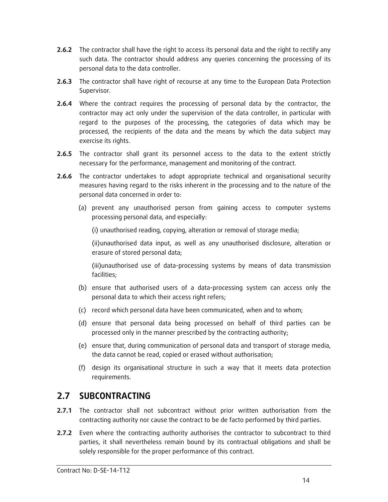- **2.6.2** The contractor shall have the right to access its personal data and the right to rectify any such data. The contractor should address any queries concerning the processing of its personal data to the data controller.
- 2.6.3 The contractor shall have right of recourse at any time to the European Data Protection Supervisor.
- **2.6.4** Where the contract requires the processing of personal data by the contractor, the contractor may act only under the supervision of the data controller, in particular with regard to the purposes of the processing, the categories of data which may be processed, the recipients of the data and the means by which the data subject may exercise its rights.
- 2.6.5 The contractor shall grant its personnel access to the data to the extent strictly necessary for the performance, management and monitoring of the contract.
- 2.6.6 The contractor undertakes to adopt appropriate technical and organisational security measures having regard to the risks inherent in the processing and to the nature of the personal data concerned in order to:
	- (a) prevent any unauthorised person from gaining access to computer systems processing personal data, and especially:

(i) unauthorised reading, copying, alteration or removal of storage media;

(ii) unauthorised data input, as well as any unauthorised disclosure, alteration or erasure of stored personal data;

(iii)unauthorised use of data-processing systems by means of data transmission facilities;

- (b) ensure that authorised users of a data-processing system can access only the personal data to which their access right refers;
- (c) record which personal data have been communicated, when and to whom;
- (d) ensure that personal data being processed on behalf of third parties can be processed only in the manner prescribed by the contracting authority;
- (e) ensure that, during communication of personal data and transport of storage media, the data cannot be read, copied or erased without authorisation;
- (f) design its organisational structure in such a way that it meets data protection requirements.

## 2.7 SUBCONTRACTING

- 2.7.1 The contractor shall not subcontract without prior written authorisation from the contracting authority nor cause the contract to be de facto performed by third parties.
- 2.7.2 Even where the contracting authority authorises the contractor to subcontract to third parties, it shall nevertheless remain bound by its contractual obligations and shall be solely responsible for the proper performance of this contract.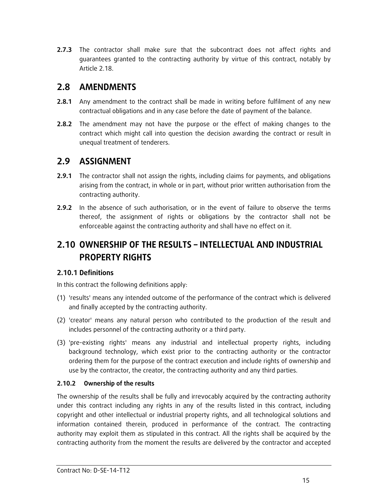**2.7.3** The contractor shall make sure that the subcontract does not affect rights and guarantees granted to the contracting authority by virtue of this contract, notably by Article 2.18.

### 2.8 AMENDMENTS

- **2.8.1** Any amendment to the contract shall be made in writing before fulfilment of any new contractual obligations and in any case before the date of payment of the balance.
- **2.8.2** The amendment may not have the purpose or the effect of making changes to the contract which might call into question the decision awarding the contract or result in unequal treatment of tenderers.

## 2.9 ASSIGNMENT

- **2.9.1** The contractor shall not assign the rights, including claims for payments, and obligations arising from the contract, in whole or in part, without prior written authorisation from the contracting authority.
- 2.9.2 In the absence of such authorisation, or in the event of failure to observe the terms thereof, the assignment of rights or obligations by the contractor shall not be enforceable against the contracting authority and shall have no effect on it.

# 2.10 OWNERSHIP OF THE RESULTS – INTELLECTUAL AND INDUSTRIAL PROPERTY RIGHTS

### 2.10.1 Definitions

In this contract the following definitions apply:

- (1) 'results' means any intended outcome of the performance of the contract which is delivered and finally accepted by the contracting authority.
- (2) 'creator' means any natural person who contributed to the production of the result and includes personnel of the contracting authority or a third party.
- (3) 'pre-existing rights' means any industrial and intellectual property rights, including background technology, which exist prior to the contracting authority or the contractor ordering them for the purpose of the contract execution and include rights of ownership and use by the contractor, the creator, the contracting authority and any third parties.

### 2.10.2 Ownership of the results

The ownership of the results shall be fully and irrevocably acquired by the contracting authority under this contract including any rights in any of the results listed in this contract, including copyright and other intellectual or industrial property rights, and all technological solutions and information contained therein, produced in performance of the contract. The contracting authority may exploit them as stipulated in this contract. All the rights shall be acquired by the contracting authority from the moment the results are delivered by the contractor and accepted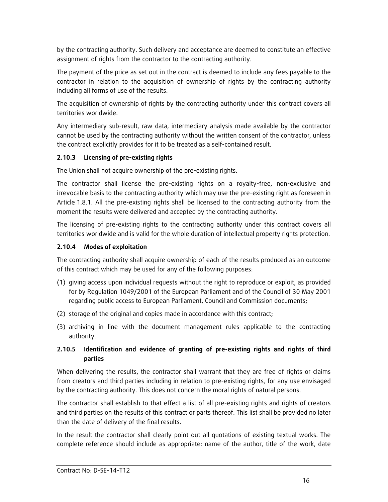by the contracting authority. Such delivery and acceptance are deemed to constitute an effective assignment of rights from the contractor to the contracting authority.

The payment of the price as set out in the contract is deemed to include any fees payable to the contractor in relation to the acquisition of ownership of rights by the contracting authority including all forms of use of the results.

The acquisition of ownership of rights by the contracting authority under this contract covers all territories worldwide.

Any intermediary sub-result, raw data, intermediary analysis made available by the contractor cannot be used by the contracting authority without the written consent of the contractor, unless the contract explicitly provides for it to be treated as a self-contained result.

### 2.10.3 Licensing of pre-existing rights

The Union shall not acquire ownership of the pre-existing rights.

The contractor shall license the pre-existing rights on a royalty-free, non-exclusive and irrevocable basis to the contracting authority which may use the pre-existing right as foreseen in Article 1.8.1. All the pre-existing rights shall be licensed to the contracting authority from the moment the results were delivered and accepted by the contracting authority.

The licensing of pre-existing rights to the contracting authority under this contract covers all territories worldwide and is valid for the whole duration of intellectual property rights protection.

#### 2.10.4 Modes of exploitation

The contracting authority shall acquire ownership of each of the results produced as an outcome of this contract which may be used for any of the following purposes:

- (1) giving access upon individual requests without the right to reproduce or exploit, as provided for by Regulation 1049/2001 of the European Parliament and of the Council of 30 May 2001 regarding public access to European Parliament, Council and Commission documents;
- (2) storage of the original and copies made in accordance with this contract;
- (3) archiving in line with the document management rules applicable to the contracting authority.

#### 2.10.5 Identification and evidence of granting of pre-existing rights and rights of third parties

When delivering the results, the contractor shall warrant that they are free of rights or claims from creators and third parties including in relation to pre-existing rights, for any use envisaged by the contracting authority. This does not concern the moral rights of natural persons.

The contractor shall establish to that effect a list of all pre-existing rights and rights of creators and third parties on the results of this contract or parts thereof. This list shall be provided no later than the date of delivery of the final results.

In the result the contractor shall clearly point out all quotations of existing textual works. The complete reference should include as appropriate: name of the author, title of the work, date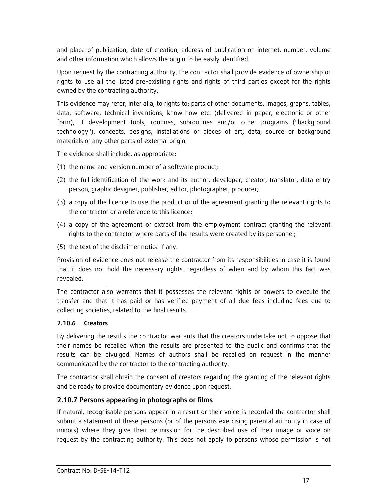and place of publication, date of creation, address of publication on internet, number, volume and other information which allows the origin to be easily identified.

Upon request by the contracting authority, the contractor shall provide evidence of ownership or rights to use all the listed pre-existing rights and rights of third parties except for the rights owned by the contracting authority.

This evidence may refer, inter alia, to rights to: parts of other documents, images, graphs, tables, data, software, technical inventions, know-how etc. (delivered in paper, electronic or other form), IT development tools, routines, subroutines and/or other programs ("background technology"), concepts, designs, installations or pieces of art, data, source or background materials or any other parts of external origin.

The evidence shall include, as appropriate:

- (1) the name and version number of a software product;
- (2) the full identification of the work and its author, developer, creator, translator, data entry person, graphic designer, publisher, editor, photographer, producer;
- (3) a copy of the licence to use the product or of the agreement granting the relevant rights to the contractor or a reference to this licence;
- (4) a copy of the agreement or extract from the employment contract granting the relevant rights to the contractor where parts of the results were created by its personnel;
- (5) the text of the disclaimer notice if any.

Provision of evidence does not release the contractor from its responsibilities in case it is found that it does not hold the necessary rights, regardless of when and by whom this fact was revealed.

The contractor also warrants that it possesses the relevant rights or powers to execute the transfer and that it has paid or has verified payment of all due fees including fees due to collecting societies, related to the final results.

#### 2.10.6 Creators

By delivering the results the contractor warrants that the creators undertake not to oppose that their names be recalled when the results are presented to the public and confirms that the results can be divulged. Names of authors shall be recalled on request in the manner communicated by the contractor to the contracting authority.

The contractor shall obtain the consent of creators regarding the granting of the relevant rights and be ready to provide documentary evidence upon request.

#### 2.10.7 Persons appearing in photographs or films

If natural, recognisable persons appear in a result or their voice is recorded the contractor shall submit a statement of these persons (or of the persons exercising parental authority in case of minors) where they give their permission for the described use of their image or voice on request by the contracting authority. This does not apply to persons whose permission is not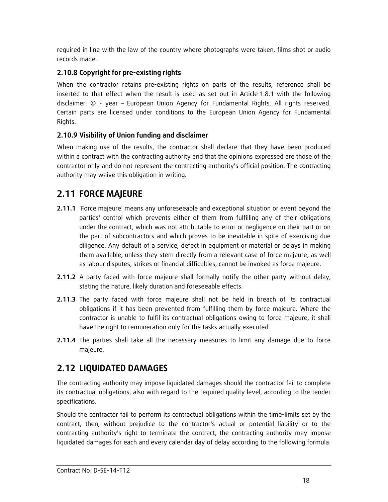required in line with the law of the country where photographs were taken, films shot or audio records made.

### 2.10.8 Copyright for pre-existing rights

When the contractor retains pre-existing rights on parts of the results, reference shall be inserted to that effect when the result is used as set out in Article 1.8.1 with the following disclaimer: © - year – European Union Agency for Fundamental Rights. All rights reserved. Certain parts are licensed under conditions to the European Union Agency for Fundamental Rights.

### 2.10.9 Visibility of Union funding and disclaimer

When making use of the results, the contractor shall declare that they have been produced within a contract with the contracting authority and that the opinions expressed are those of the contractor only and do not represent the contracting authority's official position. The contracting authority may waive this obligation in writing.

# 2.11 FORCE MAJEURE

- 2.11.1 'Force majeure' means any unforeseeable and exceptional situation or event beyond the parties' control which prevents either of them from fulfilling any of their obligations under the contract, which was not attributable to error or negligence on their part or on the part of subcontractors and which proves to be inevitable in spite of exercising due diligence. Any default of a service, defect in equipment or material or delays in making them available, unless they stem directly from a relevant case of force majeure, as well as labour disputes, strikes or financial difficulties, cannot be invoked as force majeure.
- **2.11.2** A party faced with force majeure shall formally notify the other party without delay, stating the nature, likely duration and foreseeable effects.
- **2.11.3** The party faced with force majeure shall not be held in breach of its contractual obligations if it has been prevented from fulfilling them by force majeure. Where the contractor is unable to fulfil its contractual obligations owing to force majeure, it shall have the right to remuneration only for the tasks actually executed.
- **2.11.4** The parties shall take all the necessary measures to limit any damage due to force majeure.

# 2.12 LIQUIDATED DAMAGES

The contracting authority may impose liquidated damages should the contractor fail to complete its contractual obligations, also with regard to the required quality level, according to the tender specifications.

Should the contractor fail to perform its contractual obligations within the time-limits set by the contract, then, without prejudice to the contractor's actual or potential liability or to the contracting authority's right to terminate the contract, the contracting authority may impose liquidated damages for each and every calendar day of delay according to the following formula: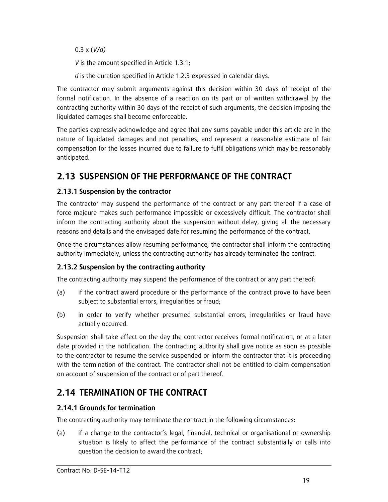$0.3 \times (V/d)$ 

V is the amount specified in Article 1.3.1;

d is the duration specified in Article 1.2.3 expressed in calendar days.

The contractor may submit arguments against this decision within 30 days of receipt of the formal notification. In the absence of a reaction on its part or of written withdrawal by the contracting authority within 30 days of the receipt of such arguments, the decision imposing the liquidated damages shall become enforceable.

The parties expressly acknowledge and agree that any sums payable under this article are in the nature of liquidated damages and not penalties, and represent a reasonable estimate of fair compensation for the losses incurred due to failure to fulfil obligations which may be reasonably anticipated.

# 2.13 SUSPENSION OF THE PERFORMANCE OF THE CONTRACT

### 2.13.1 Suspension by the contractor

The contractor may suspend the performance of the contract or any part thereof if a case of force majeure makes such performance impossible or excessively difficult. The contractor shall inform the contracting authority about the suspension without delay, giving all the necessary reasons and details and the envisaged date for resuming the performance of the contract.

Once the circumstances allow resuming performance, the contractor shall inform the contracting authority immediately, unless the contracting authority has already terminated the contract.

### 2.13.2 Suspension by the contracting authority

The contracting authority may suspend the performance of the contract or any part thereof:

- (a) if the contract award procedure or the performance of the contract prove to have been subject to substantial errors, irregularities or fraud;
- (b) in order to verify whether presumed substantial errors, irregularities or fraud have actually occurred.

Suspension shall take effect on the day the contractor receives formal notification, or at a later date provided in the notification. The contracting authority shall give notice as soon as possible to the contractor to resume the service suspended or inform the contractor that it is proceeding with the termination of the contract. The contractor shall not be entitled to claim compensation on account of suspension of the contract or of part thereof.

# 2.14 TERMINATION OF THE CONTRACT

### 2.14.1 Grounds for termination

The contracting authority may terminate the contract in the following circumstances:

(a) if a change to the contractor's legal, financial, technical or organisational or ownership situation is likely to affect the performance of the contract substantially or calls into question the decision to award the contract;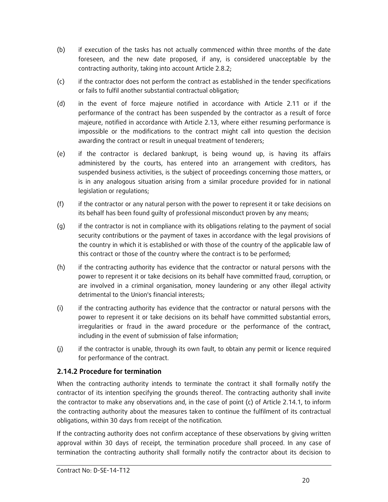- (b) if execution of the tasks has not actually commenced within three months of the date foreseen, and the new date proposed, if any, is considered unacceptable by the contracting authority, taking into account Article 2.8.2;
- (c) if the contractor does not perform the contract as established in the tender specifications or fails to fulfil another substantial contractual obligation;
- (d) in the event of force majeure notified in accordance with Article 2.11 or if the performance of the contract has been suspended by the contractor as a result of force majeure, notified in accordance with Article 2.13, where either resuming performance is impossible or the modifications to the contract might call into question the decision awarding the contract or result in unequal treatment of tenderers;
- (e) if the contractor is declared bankrupt, is being wound up, is having its affairs administered by the courts, has entered into an arrangement with creditors, has suspended business activities, is the subject of proceedings concerning those matters, or is in any analogous situation arising from a similar procedure provided for in national legislation or regulations;
- (f) if the contractor or any natural person with the power to represent it or take decisions on its behalf has been found guilty of professional misconduct proven by any means;
- (g) if the contractor is not in compliance with its obligations relating to the payment of social security contributions or the payment of taxes in accordance with the legal provisions of the country in which it is established or with those of the country of the applicable law of this contract or those of the country where the contract is to be performed;
- (h) if the contracting authority has evidence that the contractor or natural persons with the power to represent it or take decisions on its behalf have committed fraud, corruption, or are involved in a criminal organisation, money laundering or any other illegal activity detrimental to the Union's financial interests;
- (i) if the contracting authority has evidence that the contractor or natural persons with the power to represent it or take decisions on its behalf have committed substantial errors, irregularities or fraud in the award procedure or the performance of the contract, including in the event of submission of false information;
- (j) if the contractor is unable, through its own fault, to obtain any permit or licence required for performance of the contract.

### 2.14.2 Procedure for termination

When the contracting authority intends to terminate the contract it shall formally notify the contractor of its intention specifying the grounds thereof. The contracting authority shall invite the contractor to make any observations and, in the case of point (c) of Article 2.14.1, to inform the contracting authority about the measures taken to continue the fulfilment of its contractual obligations, within 30 days from receipt of the notification.

If the contracting authority does not confirm acceptance of these observations by giving written approval within 30 days of receipt, the termination procedure shall proceed. In any case of termination the contracting authority shall formally notify the contractor about its decision to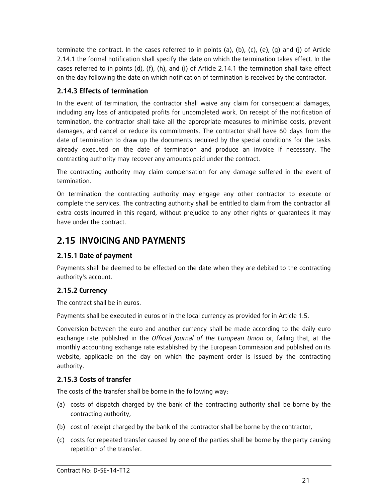terminate the contract. In the cases referred to in points (a), (b), (c), (e), (g) and (j) of Article 2.14.1 the formal notification shall specify the date on which the termination takes effect. In the cases referred to in points (d), (f), (h), and (i) of Article 2.14.1 the termination shall take effect on the day following the date on which notification of termination is received by the contractor.

### 2.14.3 Effects of termination

In the event of termination, the contractor shall waive any claim for consequential damages, including any loss of anticipated profits for uncompleted work. On receipt of the notification of termination, the contractor shall take all the appropriate measures to minimise costs, prevent damages, and cancel or reduce its commitments. The contractor shall have 60 days from the date of termination to draw up the documents required by the special conditions for the tasks already executed on the date of termination and produce an invoice if necessary. The contracting authority may recover any amounts paid under the contract.

The contracting authority may claim compensation for any damage suffered in the event of termination.

On termination the contracting authority may engage any other contractor to execute or complete the services. The contracting authority shall be entitled to claim from the contractor all extra costs incurred in this regard, without prejudice to any other rights or guarantees it may have under the contract.

# 2.15 INVOICING AND PAYMENTS

### 2.15.1 Date of payment

Payments shall be deemed to be effected on the date when they are debited to the contracting authority's account.

### 2.15.2 Currency

The contract shall be in euros.

Payments shall be executed in euros or in the local currency as provided for in Article 1.5.

Conversion between the euro and another currency shall be made according to the daily euro exchange rate published in the Official Journal of the European Union or, failing that, at the monthly accounting exchange rate established by the European Commission and published on its website, applicable on the day on which the payment order is issued by the contracting authority.

### 2.15.3 Costs of transfer

The costs of the transfer shall be borne in the following way:

- (a) costs of dispatch charged by the bank of the contracting authority shall be borne by the contracting authority,
- (b) cost of receipt charged by the bank of the contractor shall be borne by the contractor,
- (c) costs for repeated transfer caused by one of the parties shall be borne by the party causing repetition of the transfer.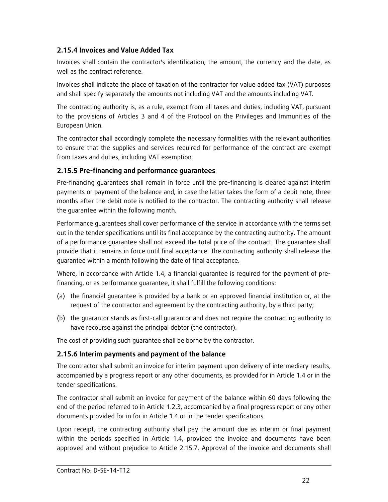#### 2.15.4 Invoices and Value Added Tax

Invoices shall contain the contractor's identification, the amount, the currency and the date, as well as the contract reference.

Invoices shall indicate the place of taxation of the contractor for value added tax (VAT) purposes and shall specify separately the amounts not including VAT and the amounts including VAT.

The contracting authority is, as a rule, exempt from all taxes and duties, including VAT, pursuant to the provisions of Articles 3 and 4 of the Protocol on the Privileges and Immunities of the European Union.

The contractor shall accordingly complete the necessary formalities with the relevant authorities to ensure that the supplies and services required for performance of the contract are exempt from taxes and duties, including VAT exemption.

#### 2.15.5 Pre-financing and performance guarantees

Pre-financing guarantees shall remain in force until the pre-financing is cleared against interim payments or payment of the balance and, in case the latter takes the form of a debit note, three months after the debit note is notified to the contractor. The contracting authority shall release the guarantee within the following month.

Performance guarantees shall cover performance of the service in accordance with the terms set out in the tender specifications until its final acceptance by the contracting authority. The amount of a performance guarantee shall not exceed the total price of the contract. The guarantee shall provide that it remains in force until final acceptance. The contracting authority shall release the guarantee within a month following the date of final acceptance.

Where, in accordance with Article 1.4, a financial guarantee is required for the payment of prefinancing, or as performance guarantee, it shall fulfill the following conditions:

- (a) the financial guarantee is provided by a bank or an approved financial institution or, at the request of the contractor and agreement by the contracting authority, by a third party;
- (b) the guarantor stands as first-call guarantor and does not require the contracting authority to have recourse against the principal debtor (the contractor).

The cost of providing such guarantee shall be borne by the contractor.

#### 2.15.6 Interim payments and payment of the balance

The contractor shall submit an invoice for interim payment upon delivery of intermediary results, accompanied by a progress report or any other documents, as provided for in Article 1.4 or in the tender specifications.

The contractor shall submit an invoice for payment of the balance within 60 days following the end of the period referred to in Article 1.2.3, accompanied by a final progress report or any other documents provided for in for in Article 1.4 or in the tender specifications.

Upon receipt, the contracting authority shall pay the amount due as interim or final payment within the periods specified in Article 1.4, provided the invoice and documents have been approved and without prejudice to Article 2.15.7. Approval of the invoice and documents shall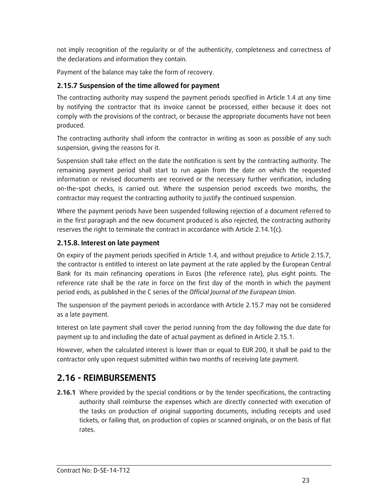not imply recognition of the regularity or of the authenticity, completeness and correctness of the declarations and information they contain.

Payment of the balance may take the form of recovery.

### 2.15.7 Suspension of the time allowed for payment

The contracting authority may suspend the payment periods specified in Article 1.4 at any time by notifying the contractor that its invoice cannot be processed, either because it does not comply with the provisions of the contract, or because the appropriate documents have not been produced.

The contracting authority shall inform the contractor in writing as soon as possible of any such suspension, giving the reasons for it.

Suspension shall take effect on the date the notification is sent by the contracting authority. The remaining payment period shall start to run again from the date on which the requested information or revised documents are received or the necessary further verification, including on-the-spot checks, is carried out. Where the suspension period exceeds two months, the contractor may request the contracting authority to justify the continued suspension.

Where the payment periods have been suspended following rejection of a document referred to in the first paragraph and the new document produced is also rejected, the contracting authority reserves the right to terminate the contract in accordance with Article 2.14.1(c).

### 2.15.8. Interest on late payment

On expiry of the payment periods specified in Article 1.4, and without prejudice to Article 2.15.7, the contractor is entitled to interest on late payment at the rate applied by the European Central Bank for its main refinancing operations in Euros (the reference rate), plus eight points. The reference rate shall be the rate in force on the first day of the month in which the payment period ends, as published in the C series of the Official Journal of the European Union.

The suspension of the payment periods in accordance with Article 2.15.7 may not be considered as a late payment.

Interest on late payment shall cover the period running from the day following the due date for payment up to and including the date of actual payment as defined in Article 2.15.1.

However, when the calculated interest is lower than or equal to EUR 200, it shall be paid to the contractor only upon request submitted within two months of receiving late payment.

# 2.16 - REIMBURSEMENTS

**2.16.1** Where provided by the special conditions or by the tender specifications, the contracting authority shall reimburse the expenses which are directly connected with execution of the tasks on production of original supporting documents, including receipts and used tickets, or failing that, on production of copies or scanned originals, or on the basis of flat rates.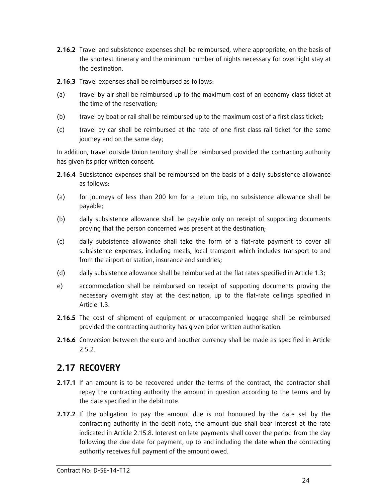- **2.16.2** Travel and subsistence expenses shall be reimbursed, where appropriate, on the basis of the shortest itinerary and the minimum number of nights necessary for overnight stay at the destination.
- 2.16.3 Travel expenses shall be reimbursed as follows:
- (a) travel by air shall be reimbursed up to the maximum cost of an economy class ticket at the time of the reservation;
- (b) travel by boat or rail shall be reimbursed up to the maximum cost of a first class ticket;
- (c) travel by car shall be reimbursed at the rate of one first class rail ticket for the same journey and on the same day;

In addition, travel outside Union territory shall be reimbursed provided the contracting authority has given its prior written consent.

- 2.16.4 Subsistence expenses shall be reimbursed on the basis of a daily subsistence allowance as follows:
- (a) for journeys of less than 200 km for a return trip, no subsistence allowance shall be payable;
- (b) daily subsistence allowance shall be payable only on receipt of supporting documents proving that the person concerned was present at the destination;
- (c) daily subsistence allowance shall take the form of a flat-rate payment to cover all subsistence expenses, including meals, local transport which includes transport to and from the airport or station, insurance and sundries;
- (d) daily subsistence allowance shall be reimbursed at the flat rates specified in Article 1.3;
- e) accommodation shall be reimbursed on receipt of supporting documents proving the necessary overnight stay at the destination, up to the flat-rate ceilings specified in Article 1.3.
- **2.16.5** The cost of shipment of equipment or unaccompanied luggage shall be reimbursed provided the contracting authority has given prior written authorisation.
- **2.16.6** Conversion between the euro and another currency shall be made as specified in Article 2.5.2.

# 2.17 RECOVERY

- **2.17.1** If an amount is to be recovered under the terms of the contract, the contractor shall repay the contracting authority the amount in question according to the terms and by the date specified in the debit note.
- **2.17.2** If the obligation to pay the amount due is not honoured by the date set by the contracting authority in the debit note, the amount due shall bear interest at the rate indicated in Article 2.15.8. Interest on late payments shall cover the period from the day following the due date for payment, up to and including the date when the contracting authority receives full payment of the amount owed.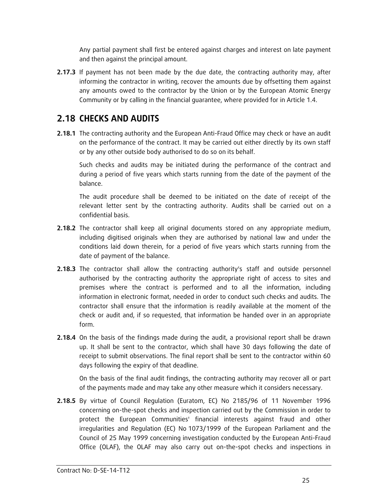Any partial payment shall first be entered against charges and interest on late payment and then against the principal amount.

**2.17.3** If payment has not been made by the due date, the contracting authority may, after informing the contractor in writing, recover the amounts due by offsetting them against any amounts owed to the contractor by the Union or by the European Atomic Energy Community or by calling in the financial guarantee, where provided for in Article 1.4.

### 2.18 CHECKS AND AUDITS

2.18.1 The contracting authority and the European Anti-Fraud Office may check or have an audit on the performance of the contract. It may be carried out either directly by its own staff or by any other outside body authorised to do so on its behalf.

Such checks and audits may be initiated during the performance of the contract and during a period of five years which starts running from the date of the payment of the balance.

The audit procedure shall be deemed to be initiated on the date of receipt of the relevant letter sent by the contracting authority. Audits shall be carried out on a confidential basis.

- 2.18.2 The contractor shall keep all original documents stored on any appropriate medium, including digitised originals when they are authorised by national law and under the conditions laid down therein, for a period of five years which starts running from the date of payment of the balance.
- **2.18.3** The contractor shall allow the contracting authority's staff and outside personnel authorised by the contracting authority the appropriate right of access to sites and premises where the contract is performed and to all the information, including information in electronic format, needed in order to conduct such checks and audits. The contractor shall ensure that the information is readily available at the moment of the check or audit and, if so requested, that information be handed over in an appropriate form.
- **2.18.4** On the basis of the findings made during the audit, a provisional report shall be drawn up. It shall be sent to the contractor, which shall have 30 days following the date of receipt to submit observations. The final report shall be sent to the contractor within 60 days following the expiry of that deadline.

On the basis of the final audit findings, the contracting authority may recover all or part of the payments made and may take any other measure which it considers necessary.

2.18.5 By virtue of Council Regulation (Euratom, EC) No 2185/96 of 11 November 1996 concerning on-the-spot checks and inspection carried out by the Commission in order to protect the European Communities' financial interests against fraud and other irregularities and Regulation (EC) No 1073/1999 of the European Parliament and the Council of 25 May 1999 concerning investigation conducted by the European Anti-Fraud Office (OLAF), the OLAF may also carry out on-the-spot checks and inspections in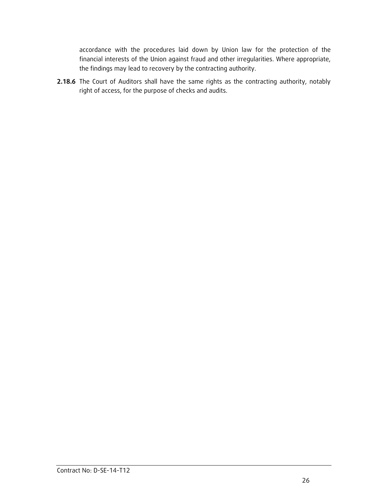accordance with the procedures laid down by Union law for the protection of the financial interests of the Union against fraud and other irregularities. Where appropriate, the findings may lead to recovery by the contracting authority.

2.18.6 The Court of Auditors shall have the same rights as the contracting authority, notably right of access, for the purpose of checks and audits.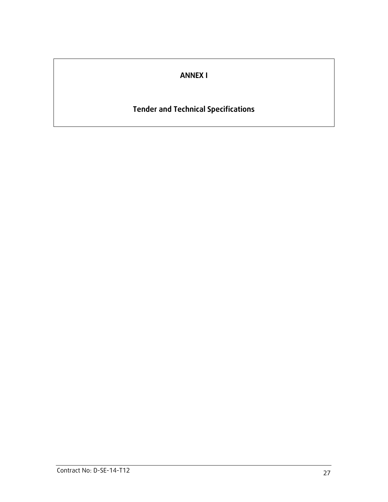## ANNEX I

# Tender and Technical Specifications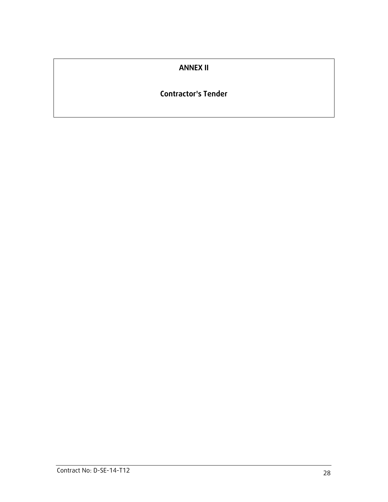### ANNEX II

### Contractor's Tender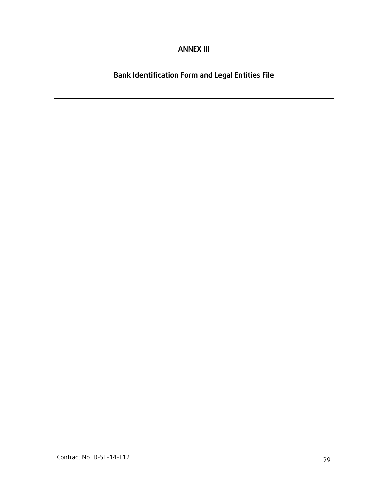## ANNEX III

# Bank Identification Form and Legal Entities File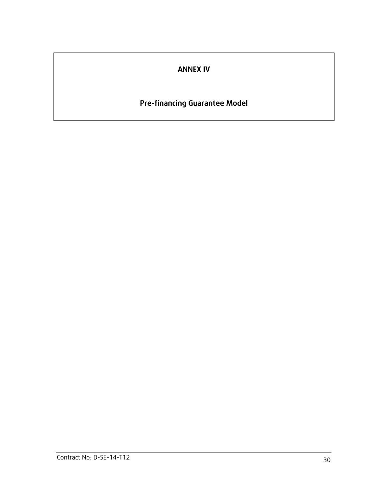### ANNEX IV

# Pre-financing Guarantee Model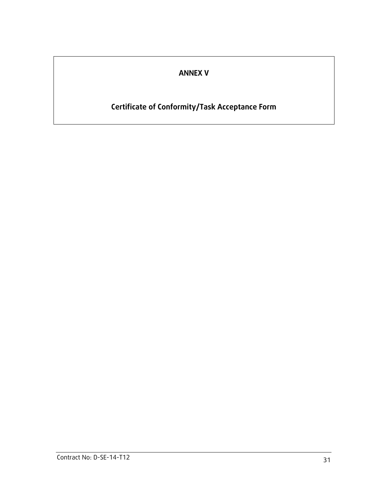## ANNEX V

# Certificate of Conformity/Task Acceptance Form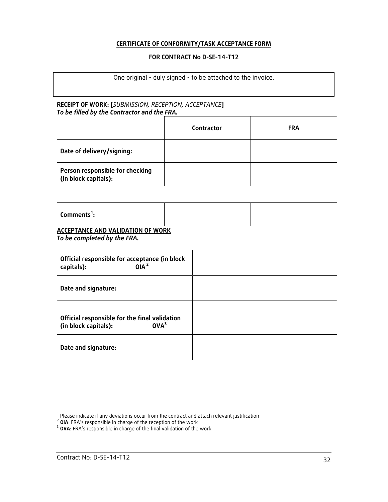#### CERTIFICATE OF CONFORMITY/TASK ACCEPTANCE FORM

#### FOR CONTRACT No D-SE-14-T12

| One original - duly signed - to be attached to the invoice. |  |  |
|-------------------------------------------------------------|--|--|
|                                                             |  |  |

#### RECEIPT OF WORK: [SUBMISSION, RECEPTION, ACCEPTANCE] To be filled by the Contractor and the FRA.

|                                                         | Contractor | <b>FRA</b> |
|---------------------------------------------------------|------------|------------|
| Date of delivery/signing:                               |            |            |
| Person responsible for checking<br>(in block capitals): |            |            |

| Comments :                        |  |  |
|-----------------------------------|--|--|
| ACCEDIANCE AND VALIDATION OF WORK |  |  |

### ACCEPTANCE AND VALIDATION OF WORK

To be completed by the FRA.

| Official responsible for acceptance (in block<br>OIA <sup>2</sup><br>capitals):           |  |
|-------------------------------------------------------------------------------------------|--|
| Date and signature:                                                                       |  |
|                                                                                           |  |
| Official responsible for the final validation<br>OVA <sup>3</sup><br>(in block capitals): |  |
| Date and signature:                                                                       |  |

j

<sup>&</sup>lt;sup>1</sup> Please indicate if any deviations occur from the contract and attach relevant justification<br><sup>2</sup> **OIA**: FRA's responsible in charge of the reception of the work<br><sup>3</sup> **OVA**: FRA's responsible in charge of the final valida